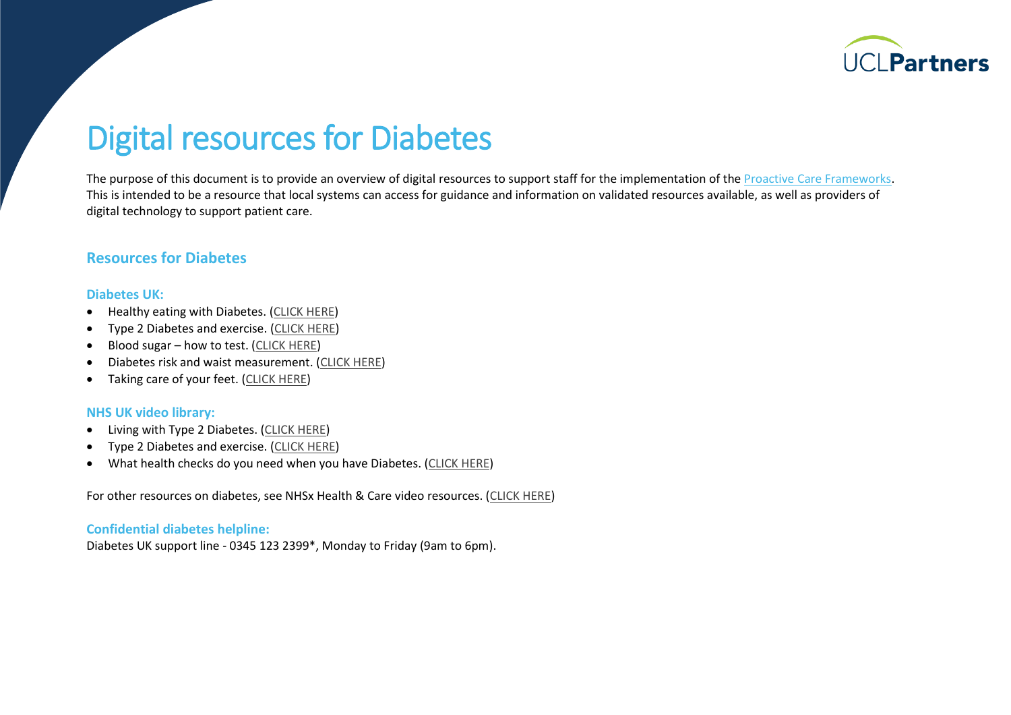

# Digital resources for Diabetes

The purpose of this document is to provide an overview of digital resources to support staff for the implementation of th[e Proactive Care Frameworks.](https://uclpartners.com/proactive-care/) This is intended to be a resource that local systems can access for guidance and information on validated resources available, as well as providers of digital technology to support patient care.

### **Resources for Diabetes**

#### **Diabetes UK:**

- Healthy eating with Diabetes. [\(CLICK HERE\)](http://www.diabetes.org.uk/preventing-type-2-diabetes/ten-tips-for-healthy-eating)
- Type 2 Diabetes and exercise. [\(CLICK HERE\)](http://www.diabetes.org.uk/preventing-type-2-diabetes/move-more)
- Blood sugar how to test. [\(CLICK HERE\)](http://www.diabetes.org.uk/guide-to-diabetes/managing-your-diabetes/testing)
- Diabetes risk and waist measurement. [\(CLICK HERE\)](http://www.diabetes.org.uk/Preventing-Type-2-diabetes/Waist-measurement)
- Taking care of your feet. [\(CLICK HERE\)](http://www.diabetes.org.uk/guide-to-diabetes/complications/feet/taking-care-of-your-feet)

#### **NHS UK video library:**

- Living with Type 2 Diabetes. [\(CLICK HERE\)](https://player.vimeo.com/video/215821359)
- Type 2 Diabetes and exercise. [\(CLICK HERE\)](https://player.vimeo.com/video/215817415)
- What health checks do you need when you have Diabetes. [\(CLICK HERE\)](https://player.vimeo.com/video/215816727)

For other resources on diabetes, see NHSx Health & Care video resources. [\(CLICK HERE\)](https://healthandcarevideos.uk/diabetes)

#### **Confidential diabetes helpline:**

Diabetes UK support line - 0345 123 2399\*, Monday to Friday (9am to 6pm).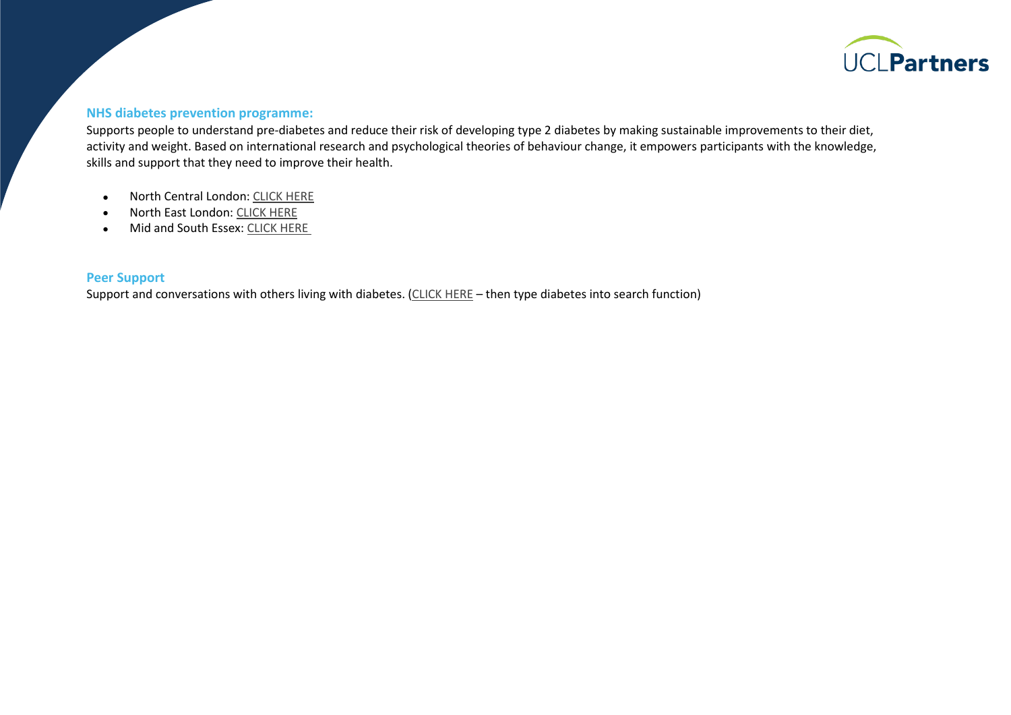

#### **NHS diabetes prevention programme:**

Supports people to understand pre-diabetes and reduce their risk of developing type 2 diabetes by making sustainable improvements to their diet, activity and weight. Based on international research and psychological theories of behaviour change, it empowers participants with the knowledge, skills and support that they need to improve their health.

- North Central London: [CLICK HERE](https://preventing-diabetes.co.uk/north-central-london/)
- North East London: [CLICK HERE](https://preventing-diabetes.co.uk/north-east-london/)
- Mid and South Essex: [CLICK HERE](https://preventing-diabetes.co.uk/essex/)

#### **Peer Support**

Support and conversations with others living with diabetes. [\(CLICK HERE](https://healthunlocked.com/) – then type diabetes into search function)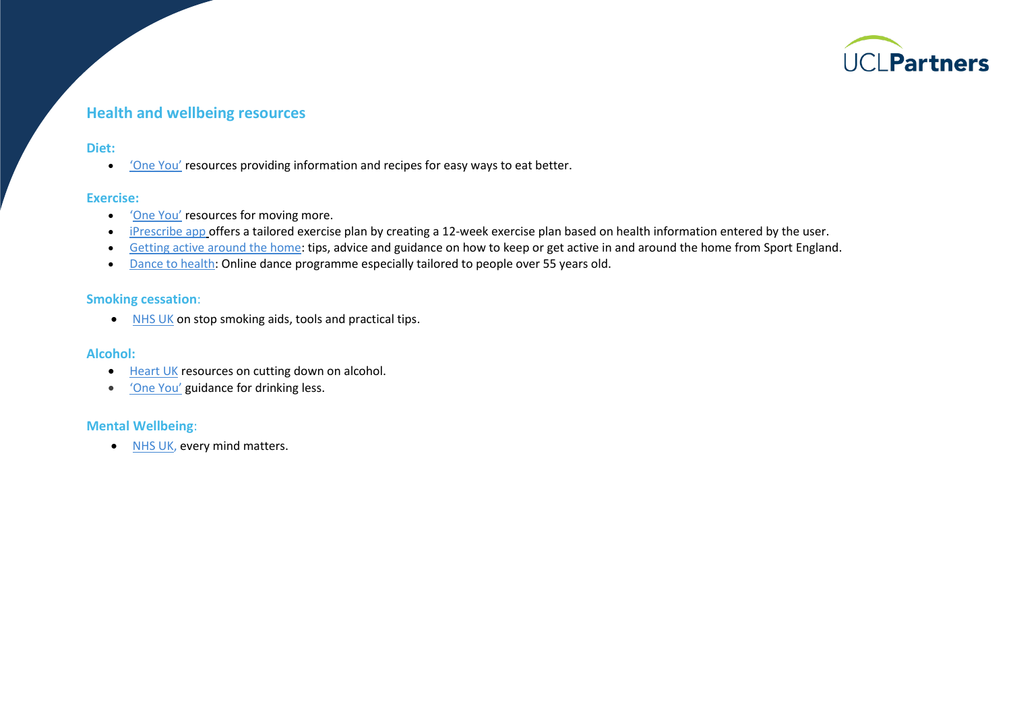

## **Health and wellbeing resources**

#### **Diet:**

• ['One You'](http://www.nhs.uk/oneyou/for-your-body/eat-better/) resources providing information and recipes for easy ways to eat better.

#### **Exercise:**

- '[One](http://www.nhs.uk/oneyou/for-your-body/move-more/) You' resources for moving more.
- [iPrescribe app](http://www.nhs.uk/apps-library/iprescribe-exercise/) offers a tailored exercise plan by creating a 12-week exercise plan based on health information entered by the user.
- [Getting active around the home:](https://weareundefeatable.co.uk/) tips, advice and guidance on how to keep or get active in and around the home from Sport England.
- [Dance to health:](http://www.dancetohealth.org/Online_Session/Online_Sessions) Online dance programme especially tailored to people over 55 years old.

#### **Smoking cessation**:

• [NHS UK](http://www.nhs.uk/oneyou/for-your-body/quit-smoking/) on stop smoking aids, tools and practical tips.

#### **Alcohol:**

- [Heart UK](https://www.heartuk.org.uk/low-cholesterol-foods/alcohol) resources on cutting down on alcohol.
- ['One You'](https://www.nhs.uk/oneyou/for-your-body/drink-less/) guidance for drinking less.

#### **Mental Wellbeing**:

• [NHS UK,](https://www.nhs.uk/every-mind-matters/) every mind matters.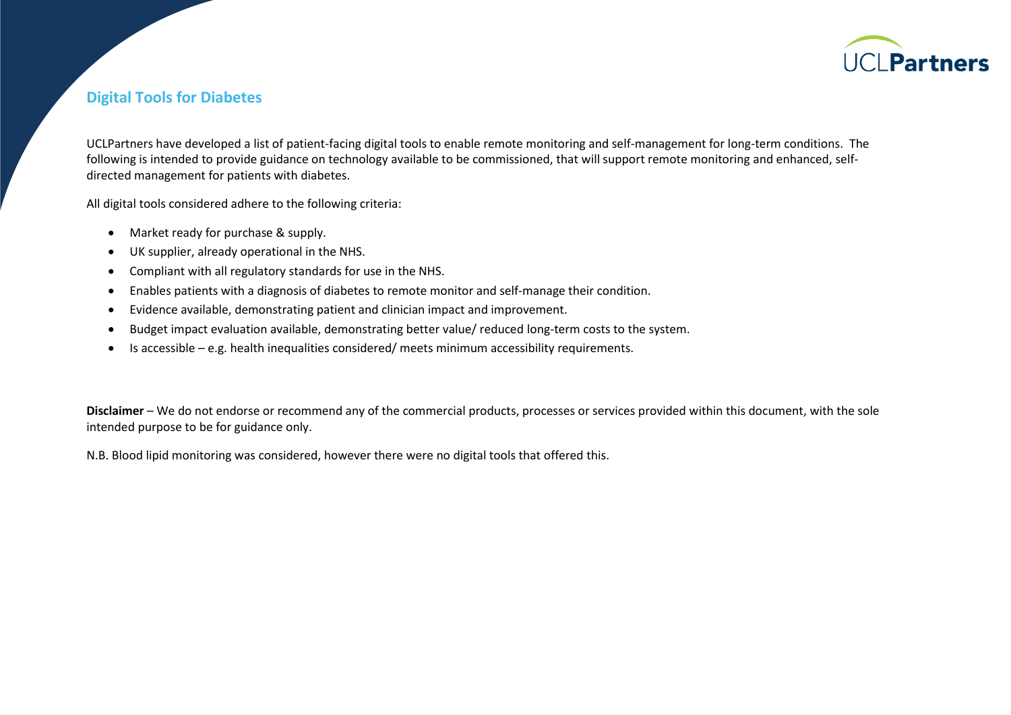

## **Digital Tools for Diabetes**

UCLPartners have developed a list of patient-facing digital tools to enable remote monitoring and self-management for long-term conditions. The following is intended to provide guidance on technology available to be commissioned, that will support remote monitoring and enhanced, selfdirected management for patients with diabetes.

All digital tools considered adhere to the following criteria:

- Market ready for purchase & supply.
- UK supplier, already operational in the NHS.
- Compliant with all regulatory standards for use in the NHS.
- Enables patients with a diagnosis of diabetes to remote monitor and self-manage their condition.
- Evidence available, demonstrating patient and clinician impact and improvement.
- Budget impact evaluation available, demonstrating better value/ reduced long-term costs to the system.
- Is accessible e.g. health inequalities considered/ meets minimum accessibility requirements.

**Disclaimer** – We do not endorse or recommend any of the commercial products, processes or services provided within this document, with the sole intended purpose to be for guidance only.

N.B. Blood lipid monitoring was considered, however there were no digital tools that offered this.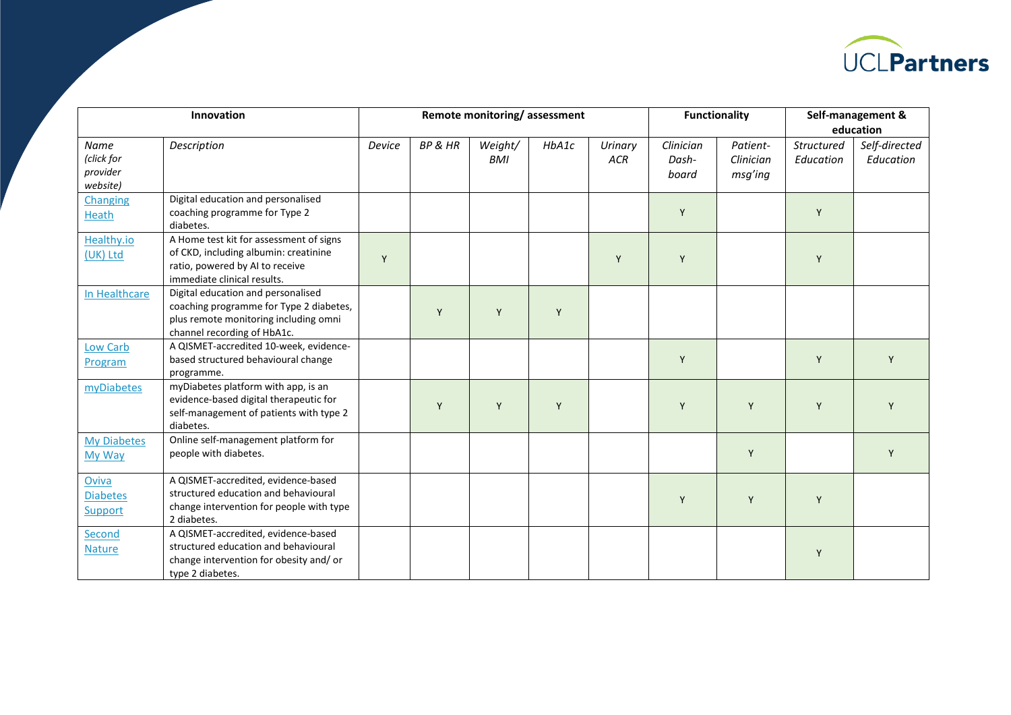

| Innovation                                 |                                                                                                                                                       | Remote monitoring/assessment |         |                       |       |                       | <b>Functionality</b>        |                                  | Self-management &       |                            |
|--------------------------------------------|-------------------------------------------------------------------------------------------------------------------------------------------------------|------------------------------|---------|-----------------------|-------|-----------------------|-----------------------------|----------------------------------|-------------------------|----------------------------|
|                                            |                                                                                                                                                       |                              |         |                       |       |                       |                             |                                  | education               |                            |
| Name<br>(click for<br>provider<br>website) | Description                                                                                                                                           | Device                       | BP & HR | Weight/<br><b>BMI</b> | HbA1c | Urinary<br><b>ACR</b> | Clinician<br>Dash-<br>board | Patient-<br>Clinician<br>msg'ing | Structured<br>Education | Self-directed<br>Education |
| Changing<br>Heath                          | Digital education and personalised<br>coaching programme for Type 2<br>diabetes.                                                                      |                              |         |                       |       |                       | Y                           |                                  | Y                       |                            |
| Healthy.io<br>(UK) Ltd                     | A Home test kit for assessment of signs<br>of CKD, including albumin: creatinine<br>ratio, powered by AI to receive<br>immediate clinical results.    | Y                            |         |                       |       | Y                     | Y                           |                                  | Y                       |                            |
| In Healthcare                              | Digital education and personalised<br>coaching programme for Type 2 diabetes,<br>plus remote monitoring including omni<br>channel recording of HbA1c. |                              | Y       | Y                     | Y     |                       |                             |                                  |                         |                            |
| Low Carb<br>Program                        | A QISMET-accredited 10-week, evidence-<br>based structured behavioural change<br>programme.                                                           |                              |         |                       |       |                       | Y                           |                                  | Y                       | Y                          |
| myDiabetes                                 | myDiabetes platform with app, is an<br>evidence-based digital therapeutic for<br>self-management of patients with type 2<br>diabetes.                 |                              | Y       | Y                     | Y     |                       | Y                           | Y                                | Y                       | Y                          |
| <b>My Diabetes</b><br>My Way               | Online self-management platform for<br>people with diabetes.                                                                                          |                              |         |                       |       |                       |                             | Y                                |                         | Y                          |
| Oviva<br><b>Diabetes</b><br>Support        | A QISMET-accredited, evidence-based<br>structured education and behavioural<br>change intervention for people with type<br>2 diabetes.                |                              |         |                       |       |                       | Y                           | Y                                | Y                       |                            |
| Second<br><b>Nature</b>                    | A QISMET-accredited, evidence-based<br>structured education and behavioural<br>change intervention for obesity and/ or<br>type 2 diabetes.            |                              |         |                       |       |                       |                             |                                  | Y                       |                            |